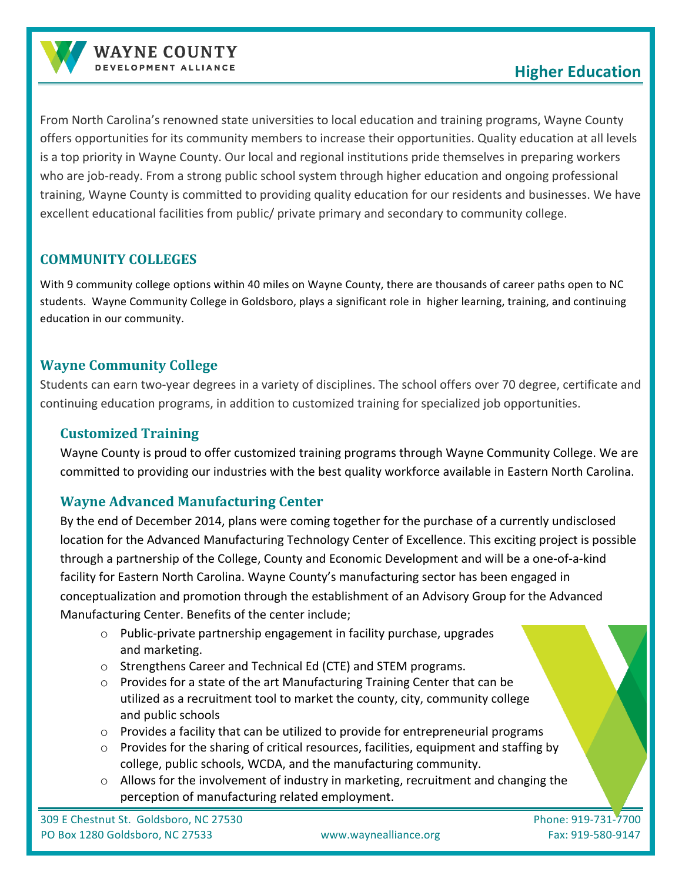

From North Carolina's renowned state universities to local education and training programs, Wayne County offers opportunities for its community members to increase their opportunities. Quality education at all levels is a top priority in Wayne County. Our local and regional institutions pride themselves in preparing workers who are job-ready. From a strong public school system through higher education and ongoing professional training, Wayne County is committed to providing quality education for our residents and businesses. We have excellent educational facilities from public/ private primary and secondary to community college.

## **COMMUNITY COLLEGES**

With 9 community college options within 40 miles on Wayne County, there are thousands of career paths open to NC students. Wayne Community College in Goldsboro, plays a significant role in higher learning, training, and continuing education in our community.

## **Wayne Community College**

Students can earn two-year degrees in a variety of disciplines. The school offers over 70 degree, certificate and continuing education programs, in addition to customized training for specialized job opportunities.

## **Customized Training**

Wayne County is proud to offer customized training programs through Wayne Community College. We are committed to providing our industries with the best quality workforce available in Eastern North Carolina.

## **Wayne Advanced Manufacturing Center**

By the end of December 2014, plans were coming together for the purchase of a currently undisclosed location for the Advanced Manufacturing Technology Center of Excellence. This exciting project is possible through a partnership of the College, County and Economic Development and will be a one-of-a-kind facility for Eastern North Carolina. Wayne County's manufacturing sector has been engaged in conceptualization and promotion through the establishment of an Advisory Group for the Advanced Manufacturing Center. Benefits of the center include;

- $\circ$  Public-private partnership engagement in facility purchase, upgrades and marketing.
- $\circ$  Strengthens Career and Technical Ed (CTE) and STEM programs.
- $\circ$  Provides for a state of the art Manufacturing Training Center that can be utilized as a recruitment tool to market the county, city, community college and public schools
- $\circ$  Provides a facility that can be utilized to provide for entrepreneurial programs
- $\circ$  Provides for the sharing of critical resources, facilities, equipment and staffing by college, public schools, WCDA, and the manufacturing community.
- $\circ$  Allows for the involvement of industry in marketing, recruitment and changing the perception of manufacturing related employment.

309 E Chestnut St. Goldsboro, NC 27530 Phone: 919-731-7700 PO Box 1280 Goldsboro, NC 27533 www.waynealliance.org Fax: 919-580-9147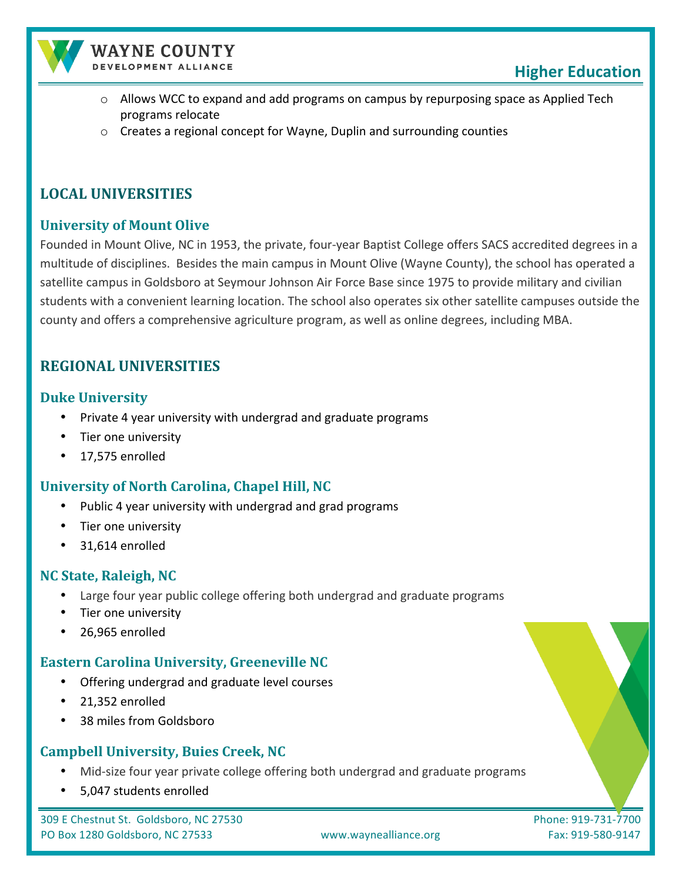

#### **WAYNE COUNTY** DEVELOPMENT ALLIANCE

- $\circ$  Allows WCC to expand and add programs on campus by repurposing space as Applied Tech programs relocate
- $\circ$  Creates a regional concept for Wayne, Duplin and surrounding counties

## **LOCAL UNIVERSITIES**

## **University of Mount Olive**

Founded in Mount Olive, NC in 1953, the private, four-year Baptist College offers SACS accredited degrees in a multitude of disciplines. Besides the main campus in Mount Olive (Wayne County), the school has operated a satellite campus in Goldsboro at Seymour Johnson Air Force Base since 1975 to provide military and civilian students with a convenient learning location. The school also operates six other satellite campuses outside the county and offers a comprehensive agriculture program, as well as online degrees, including MBA.

## **REGIONAL UNIVERSITIES**

### **Duke University**

- Private 4 year university with undergrad and graduate programs
- Tier one university
- 17,575 enrolled

## **University of North Carolina, Chapel Hill, NC**

- Public 4 year university with undergrad and grad programs
- Tier one university
- 31,614 enrolled

### **NC State, Raleigh, NC**

- Large four year public college offering both undergrad and graduate programs
- Tier one university
- 26,965 enrolled

### **Eastern Carolina University, Greeneville NC**

- Offering undergrad and graduate level courses
- 21,352 enrolled
- 38 miles from Goldsboro

### **Campbell University, Buies Creek, NC**

- Mid-size four year private college offering both undergrad and graduate programs
- 5,047 students enrolled

309 E Chestnut St. Goldsboro, NC 27530 Phone: 919-731-7700 PO Box 1280 Goldsboro, NC 27533 www.waynealliance.org Fax: 919-580-9147